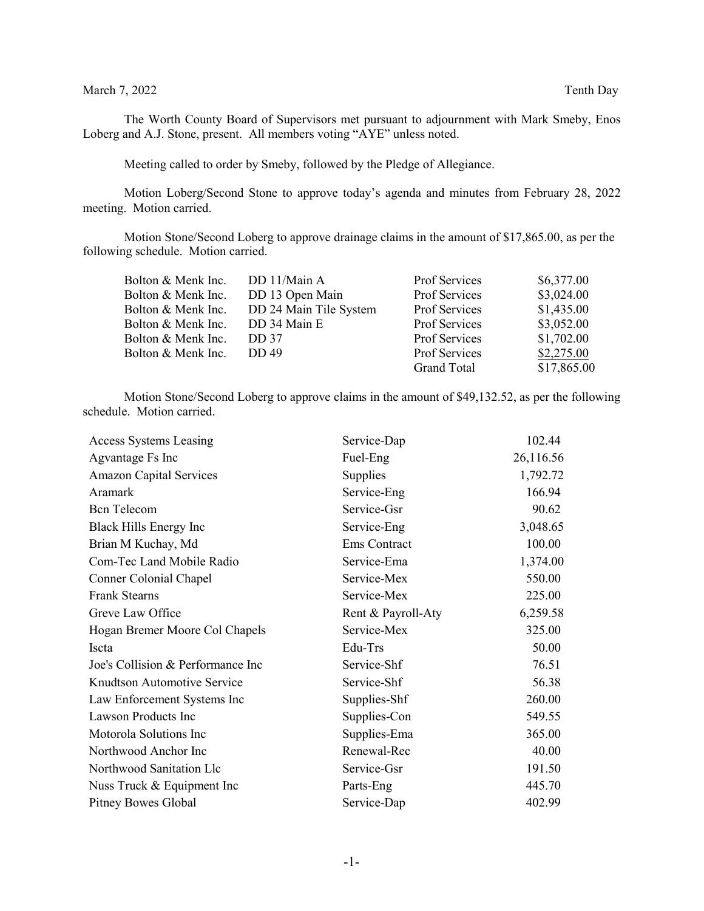## March 7, 2022 Tenth Day

The Worth County Board of Supervisors met pursuant to adjournment with Mark Smeby, Enos Loberg and A.J. Stone, present. All members voting "AYE" unless noted.

Meeting called to order by Smeby, followed by the Pledge of Allegiance.

Motion Loberg/Second Stone to approve today's agenda and minutes from February 28, 2022 meeting. Motion carried.

Motion Stone/Second Loberg to approve drainage claims in the amount of \$17,865.00, as per the following schedule. Motion carried.

| DD 11/Main A           | Prof Services        | \$6,377.00  |
|------------------------|----------------------|-------------|
| DD 13 Open Main        | <b>Prof Services</b> | \$3,024.00  |
| DD 24 Main Tile System | Prof Services        | \$1,435.00  |
| DD 34 Main E           | <b>Prof Services</b> | \$3,052.00  |
| <b>DD</b> 37           | Prof Services        | \$1,702.00  |
| <b>DD</b> 49           | Prof Services        | \$2,275.00  |
|                        | <b>Grand Total</b>   | \$17,865.00 |
|                        |                      |             |

Motion Stone/Second Loberg to approve claims in the amount of \$49,132.52, as per the following schedule. Motion carried.

| <b>Access Systems Leasing</b>     | Service-Dap        | 102.44    |
|-----------------------------------|--------------------|-----------|
| Agvantage Fs Inc                  | Fuel-Eng           | 26,116.56 |
| <b>Amazon Capital Services</b>    | Supplies           | 1,792.72  |
| Aramark                           | Service-Eng        | 166.94    |
| <b>Bcn</b> Telecom                | Service-Gsr        | 90.62     |
| Black Hills Energy Inc            | Service-Eng        | 3,048.65  |
| Brian M Kuchay, Md                | Ems Contract       | 100.00    |
| Com-Tec Land Mobile Radio         | Service-Ema        | 1,374.00  |
| Conner Colonial Chapel            | Service-Mex        | 550.00    |
| <b>Frank Stearns</b>              | Service-Mex        | 225.00    |
| Greve Law Office                  | Rent & Payroll-Aty | 6,259.58  |
| Hogan Bremer Moore Col Chapels    | Service-Mex        | 325.00    |
| <b>Iscta</b>                      | Edu-Trs            | 50.00     |
| Joe's Collision & Performance Inc | Service-Shf        | 76.51     |
| Knudtson Automotive Service       | Service-Shf        | 56.38     |
| Law Enforcement Systems Inc       | Supplies-Shf       | 260.00    |
| Lawson Products Inc               | Supplies-Con       | 549.55    |
| Motorola Solutions Inc            | Supplies-Ema       | 365.00    |
| Northwood Anchor Inc              | Renewal-Rec        | 40.00     |
| Northwood Sanitation Llc          | Service-Gsr        | 191.50    |
| Nuss Truck & Equipment Inc        | Parts-Eng          | 445.70    |
| Pitney Bowes Global               | Service-Dap        | 402.99    |